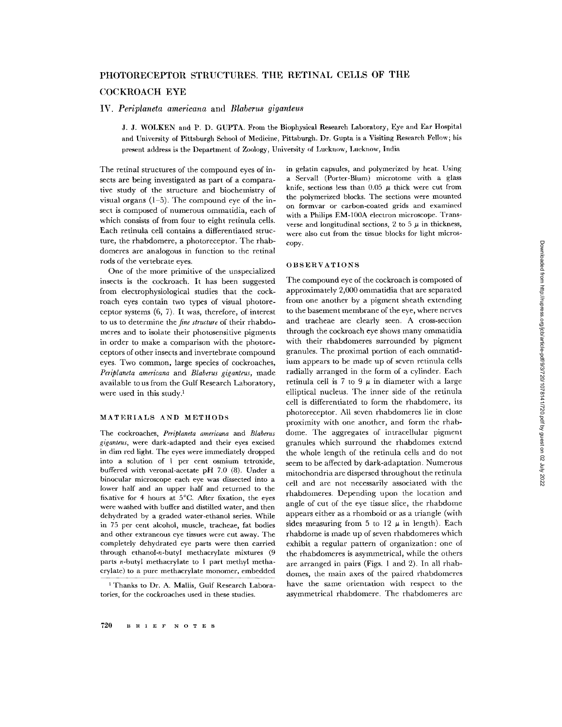# **COCKROACH EYE**

## IV. Periplaneta americana and *Blaberus* giganteus

J. J. WOLKEN and P. D. GUPTA. From the Biophysical Research Laboratory, Eye and Ear Hospital and University of Pittsburgh School of Medicine, Pittsburgh. Dr. Gupta is a Visiting Research Fellow; his present address is the Department of Zoology, University of Lucknow, Lucknow, India

The retinal structures of the compound eyes of insects are being investigated as part of a comparative study of the structure and biochemistry of visual organs  $(1-5)$ . The compound eye of the insect is composed of numerous ommatidia, each of which consists of from four to eight retinula cells. Each retinula cell contains a differentiated structure, the rhabdomere, a photoreceptor. The rhabdomeres are analogous in function to the retinal rods of the vertebrate eyes.

One of the more primitive of the unspecialized insects is the cockroach. It has been suggested from electrophysiological studies that the cock) roach eyes contain two types of visual photoreceptor systems (6, 7). It was, therefore, of interest to us to determine the *fine structure* of their rhabdomeres and to isolate their photosensitive pigments in order to make a comparison with the photoreceptors of other insects and invertebrate compound eyes. Two common, large species of cockroaches, *Periplaneta americana* and *Blaberus giganteus,* made available to us from the Gulf Research Laboratory, were used in this study.<sup>1</sup>

## MATERIALS AND METHODS

The cockroaches, *Periplaneta americana* and *Blaberus giganteus,* were dark-adapted and their eyes excised in dim red light. The eyes were immediately dropped into a solution of I per cent osmium tetroxide, buffered with veronal-acetate pH 7.0 (8). Under a binocular microscope each eye was dissected into a lower half and an upper half and returned to the fixative for 4 hours at 5°C. After fixation, the eyes were washed with buffer and distilled water, and then dehydrated by a graded water-ethanol series. While in 75 per cent alcohol, muscle, tracheae, fat bodies and other extraneous eye tissues were cut away. The completely dehydrated eye parts were then carried through ethanol-n-butyl methacrylate mixtures (9 parts n-butyl methacrylate to 1 part methyl methacrylate) to a pure methacrylate monomer, embedded in gelatin capsules, and polymerized by heat. Using a Servall (Porter-Blum) microtome with a glass knife, sections less than 0.05  $\mu$  thick were cut from the polymerized blocks. The sections were mounted on formvar or carbon-coated grids and examined with a Philips EM-100A electron microscope. Transverse and longitudinal sections, 2 to 5  $\mu$  in thickness, were also cut from the tissue blocks for light microscopy.

#### OBSERVATIONS

The compound eye of the cockroach is composed of approximately 2,000 ommatidia that are separated from one another by a pigment sheath extending to the basement membrane of the eye, where nerves and tracheae are clearly seen. A cross-section through the cockroach eye shows many ommatidia with their rhabdomeres surrounded by pigment granules. The proximal portion of each ommatidium appears to be made up of seven retinula cells radially arranged in the form of a cylinder. Each retinula cell is 7 to 9  $\mu$  in diameter with a large elliptical nucleus. The inner side of the retinula cell is differentiated to form the rhabdomere, its photoreceptor. All seven rhabdomeres lie in close proximity with one another, and form the rhabdome. The aggregates of intracellular pigment granules which surround the rhabdomes extend the whole length of the retinula cells and do not seem to be affected by dark-adaptation. Numerous mitochondria are dispersed throughout the retinula cell and are not necessarily associated with the rhabdomeres. Depending upon the location and angle of cut of the eye tissue slice, the rhabdome appears either as a rhomboid or as a triangle (with sides measuring from 5 to 12  $\mu$  in length). Each rhabdome is made up of seven rhabdomeres which exhibit a regular pattern of organization: one ot the rhabdomeres is asymmetrical, while the others are arranged in pairs (Figs. 1 and 2). In all rhabdomes, the main axes of the paired rhabdomeres have the same orientation with respect to the asymmetrical rhabdomere. The rhabdomeres are

<sup>1</sup> Thanks to Dr. A. Mallis, Gulf Research Laboratories, for the cockroaches used in these studies.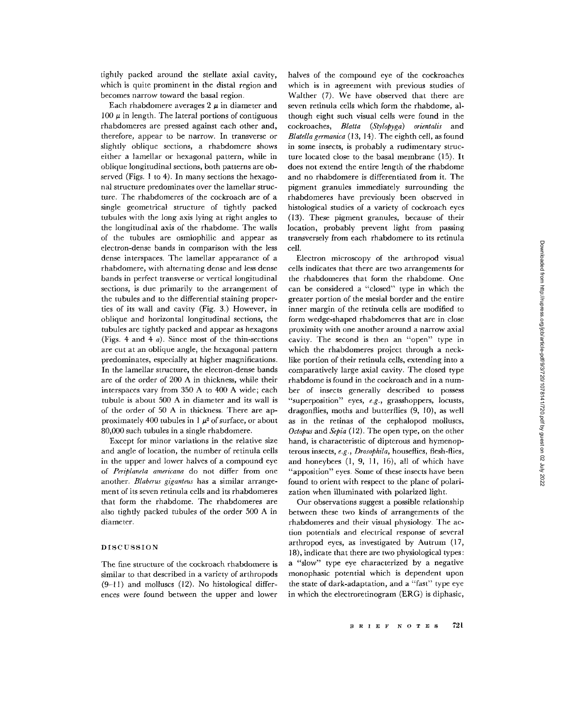tightly packed around the stellate axial cavity, which is quite prominent in the distal region and becomes narrow toward the basal region.

Each rhabdomere averages  $2 \mu$  in diameter and 100  $\mu$  in length. The lateral portions of contiguous rhabdomeres are pressed against each other and, therefore, appear to be narrow. In transverse or slightly oblique sections, a rhabdomere shows either a lamellar or hexagonal pattern, while in oblique longitudinal sections, both patterns are observed (Figs. 1 to 4). In many sections the hexagonal structure predominates over the lamellar structure. The rhabdomeres of the cockroach are of a single geometrical structure of tightly packed tubules with the long axis lying at right angles to the longitudinal axis of the rhabdome. The walls of the tubules are osmiophilic and appear as electron-dense bands in comparison with the less dense interspaces. The lamellar appearance of a rhabdomere, with alternating dense and less dense bands in perfect transverse or vertical longitudinal sections, is due primarily to the arrangement of the tubules and to the differential staining properties of its wall and cavity (Fig. 3.) However, in oblique and horizontal longitudinal sections, the tubules are tightly packed and appear as hexagons (Figs. 4 and 4  $a$ ). Since most of the thin-sections are cut at an oblique angle, the hexagonal pattern predominates, especially at higher magnifications. In the lamellar structure, the electron-dense bands are of the order of 200 A in thickness, while their interspaces vary from 350 A to 400 A wide; each tubule is about 500 A in diameter and its wall is of the order of 50 A in thickness. There are approximately 400 tubules in 1  $\mu^2$  of surface, or about 80,000 such tubules in a single rhabdomere.

Except for minor variations in the relative size and angle of location, the number of retinula cells in the upper and lower halves of a compound eye of *Periplaneta americana* do not differ from one another. *Blaberus giganteus* has a similar arrangement of its seven retinula cells and its rhabdomeres that form the rhabdome. The rhabdomeres are also tightly packed tubules of the order 500 A in diameter.

#### DISCUSSION

The fine structure of the cockroach rhabdomere is similar to that described in a variety of arthropods  $(9-11)$  and molluscs  $(12)$ . No histological differences were found between the upper and lower

halves of the compound eye of the cockroaches which is in agreement with previous studies of Walther (7). We have observed that there are seven retinula cells which form the rhabdome, although eight such visual cells were found in the cockroaches, *Blatta (Stylopyga) orientalis* and *Blatella germanica* ( 13, 14). The eighth cell, as found in some insects, is probably a rudimentary structure located close to the basal membrane (15). It does not extend the entire length of the rhabdome and no rhabdomere is differentiated from it. The pigment granules immediately surrounding the rhabdomeres have previously been observed in histological studies of a variety of cockroach eyes (13). These pigment granules, because of their location, probably prevent light from passing transversely from each rhabdomere to its retinula cell.

Electron microscopy of the arthropod visual cells indicates that there are two arrangements for the rhabdomeres that form the rhabdome. One can be considered a "closed" type in which the greater portion of the mesial border and the entire inner margin of the retinula cells are modified to form wedge-shaped rhabdomeres that are in close proximity with one another around a narrow axial cavity. The second is then an "open" type in which the rhabdomeres project through a necklike portion of their retinula cells, extending into a comparatively large axial cavity. The closed type rhabdome is found in the cockroach and in a number of insects generally described to possess "superposition" eyes, *e.g.,* grasshoppers, locusts, dragonflies, moths and butterflies (9, 10), as well as in the retinas of the cephalopod molluscs, *Octopus* and *Sepia* (12). The open type, on the other hand, is characteristic of dipterous and hymenopterous insects, *e.g., Drosophila,* houseflies, flesh-flies, and honeybees (1, 9, I1, 16), all of which have "apposition" eyes. Some of these insects have been found to orient with respect to the plane of polarization when illuminated with polarized light.

Our observations suggest a possible relationship between these two kinds of arrangements of the rhabdomeres and their visual physiology. The action potentials and electrical response of several arthropod eyes, as investigated by Autrum (17, 18), indicate that there are two physiological types: a "slow" type eye characterized by a negative monophasic potential which is dependent upon the state of dark-adaptation, and a "fast" type eye in which the electroretinogram (ERG) is diphasic,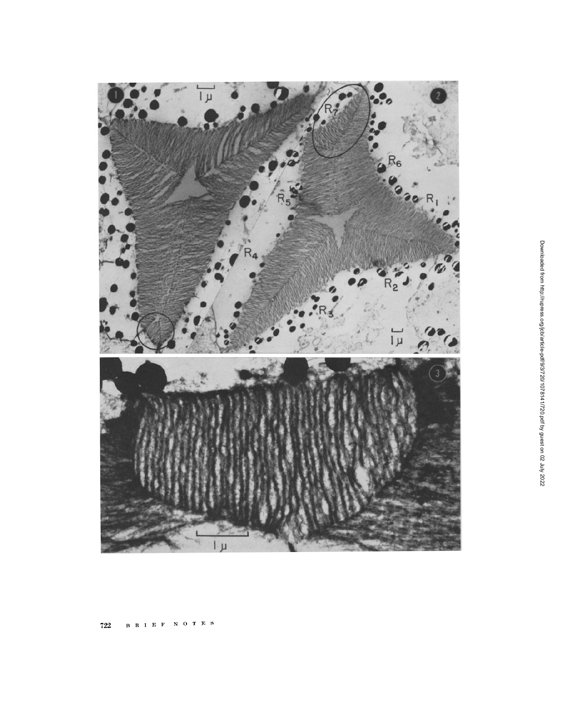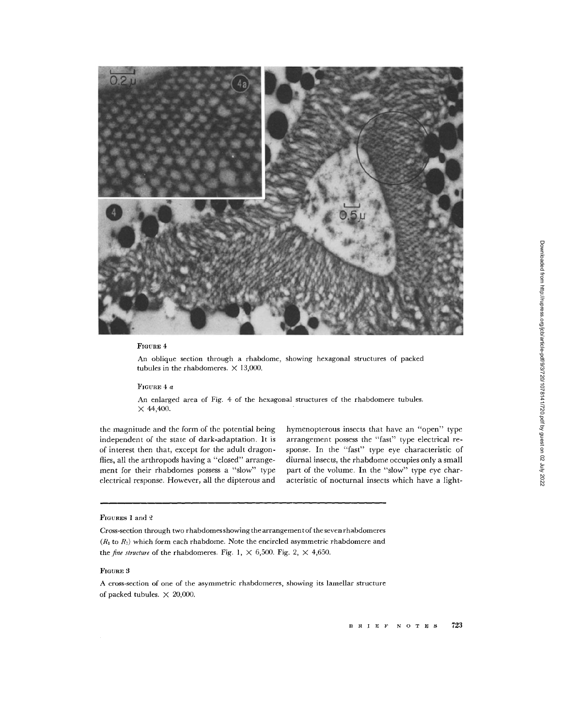

#### FIGURE 4

An oblique section through a rhabdome, showing hexagonal structures of packed tubules in the rhabdomeres.  $\times$  13,000.

FIGURE 4 a

An enlarged area of Fig. 4 of the hexagonal structures ef the rhabdomere tubules.  $\times$  44,400.

the magnitude and the form of the potential being independent of the state of dark-adaptation. It is of interest then that, except for the adult dragonflies, all the arthropods having a "closed" arrangement for their rhabdomes possess a "slow" type electrical response. However, all the dipterous and

hymenopterous insects that have an "open" type arrangement possess the "fast" type electrical response. In the "fast" type eye characteristic of diurnal insects, the rhabdome occupies only a small part of the volume. In the "slow" type eye characteristic of nocturnal insects which have a light-

# FIGURES 1 and 2

# FIGURE **3**

A cross-section of one of the asymmetric rhabdomeres, showing its lamellar structure of packed tubules. X *20,000.* 

Cross-section through two rhabdomes showing the arrangement of the seven rhabdomeres  $(R_1$  to  $R_7$ ) which form each rhabdome. Note the encircled asymmetric rhabdomere and the *fine structure* of the rhabdomeres. Fig. 1,  $\times$  6,500. Fig. 2,  $\times$  4,650.